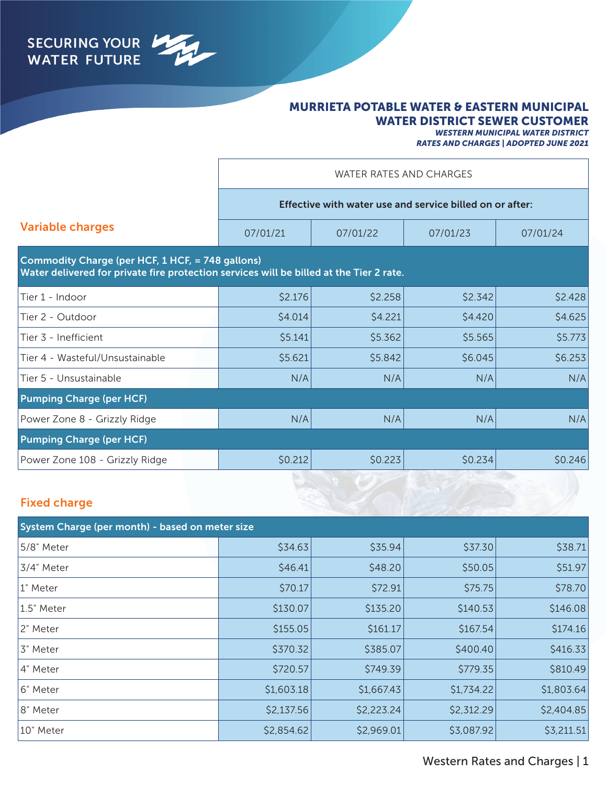

### MURRIETA POTABLE WATER & EASTERN MUNICIPAL WATER DISTRICT SEWER CUSTOMER

*WESTERN MUNICIPAL WATER DISTRICT RATES AND CHARGES | ADOPTED JUNE 2021*

|                                                  | WATER RATES AND CHARGES                                                                 |          |          |          |  |
|--------------------------------------------------|-----------------------------------------------------------------------------------------|----------|----------|----------|--|
|                                                  | Effective with water use and service billed on or after:                                |          |          |          |  |
| <b>Variable charges</b>                          | 07/01/21                                                                                | 07/01/22 | 07/01/23 | 07/01/24 |  |
| Commodity Charge (per HCF, 1 HCF, = 748 gallons) | Water delivered for private fire protection services will be billed at the Tier 2 rate. |          |          |          |  |
| Tier 1 - Indoor                                  | \$2.176                                                                                 | \$2.258  | \$2.342  | \$2.428  |  |
| Tier 2 - Outdoor                                 | \$4.014                                                                                 | \$4.221  | \$4.420  | \$4.625  |  |
| Tier 3 - Inefficient                             | \$5.141                                                                                 | \$5.362  | \$5.565  | \$5.773  |  |
| Tier 4 - Wasteful/Unsustainable                  | \$5.621                                                                                 | \$5.842  | \$6.045  | \$6.253  |  |
| Tier 5 - Unsustainable                           | N/A                                                                                     | N/A      | N/A      | N/A      |  |
| <b>Pumping Charge (per HCF)</b>                  |                                                                                         |          |          |          |  |
| Power Zone 8 - Grizzly Ridge                     | N/A                                                                                     | N/A      | N/A      | N/A      |  |
| <b>Pumping Charge (per HCF)</b>                  |                                                                                         |          |          |          |  |
| Power Zone 108 - Grizzly Ridge                   | \$0.212                                                                                 | \$0.223  | \$0.234  | \$0.246  |  |

### Fixed charge

| System Charge (per month) - based on meter size |            |            |            |            |  |
|-------------------------------------------------|------------|------------|------------|------------|--|
| 5/8" Meter                                      | \$34.63    | \$35.94    | \$37.30    | \$38.71    |  |
| 3/4" Meter                                      | \$46.41    | \$48.20    | \$50.05    | \$51.97    |  |
| 1" Meter                                        | \$70.17    | \$72.91    | \$75.75    | \$78.70    |  |
| 1.5" Meter                                      | \$130.07   | \$135.20   | \$140.53   | \$146.08   |  |
| 2" Meter                                        | \$155.05   | \$161.17   | \$167.54   | \$174.16   |  |
| 3" Meter                                        | \$370.32   | \$385.07   | \$400.40   | \$416.33   |  |
| 4" Meter                                        | \$720.57   | \$749.39   | \$779.35   | \$810.49   |  |
| 16" Meter                                       | \$1,603.18 | \$1,667.43 | \$1,734.22 | \$1,803.64 |  |
| 8" Meter                                        | \$2,137.56 | \$2,223.24 | \$2,312.29 | \$2,404.85 |  |
| 10" Meter                                       | \$2,854.62 | \$2,969.01 | \$3,087.92 | \$3,211.51 |  |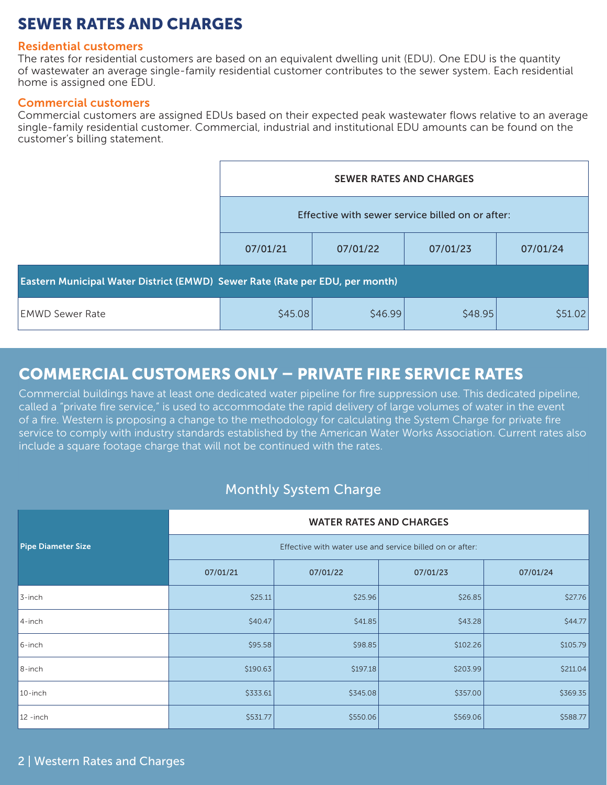# SEWER RATES AND CHARGES

#### Residential customers

The rates for residential customers are based on an equivalent dwelling unit (EDU). One EDU is the quantity of wastewater an average single-family residential customer contributes to the sewer system. Each residential home is assigned one EDU.

#### Commercial customers

Commercial customers are assigned EDUs based on their expected peak wastewater flows relative to an average single-family residential customer. Commercial, industrial and institutional EDU amounts can be found on the customer's billing statement.

|                                                                              | <b>SEWER RATES AND CHARGES</b>                   |          |          |          |  |
|------------------------------------------------------------------------------|--------------------------------------------------|----------|----------|----------|--|
|                                                                              | Effective with sewer service billed on or after: |          |          |          |  |
|                                                                              | 07/01/21                                         | 07/01/22 | 07/01/23 | 07/01/24 |  |
| Eastern Municipal Water District (EMWD) Sewer Rate (Rate per EDU, per month) |                                                  |          |          |          |  |
| <b>EMWD Sewer Rate</b>                                                       | \$45.08                                          | \$46.99  | \$48.95  | \$51.02  |  |

## COMMERCIAL CUSTOMERS ONLY – PRIVATE FIRE SERVICE RATES

Commercial buildings have at least one dedicated water pipeline for fire suppression use. This dedicated pipeline, called a "private fire service," is used to accommodate the rapid delivery of large volumes of water in the event of a fire. Western is proposing a change to the methodology for calculating the System Charge for private fire service to comply with industry standards established by the American Water Works Association. Current rates also include a square footage charge that will not be continued with the rates.

## Monthly System Charge

|                           | <b>WATER RATES AND CHARGES</b>                           |          |          |          |  |
|---------------------------|----------------------------------------------------------|----------|----------|----------|--|
| <b>Pipe Diameter Size</b> | Effective with water use and service billed on or after: |          |          |          |  |
|                           | 07/01/21                                                 | 07/01/22 | 07/01/23 | 07/01/24 |  |
| 3-inch                    | \$25.11                                                  | \$25.96  | \$26.85  | \$27.76  |  |
| 4-inch                    | \$40.47                                                  | \$41.85  | \$43.28  | \$44.77  |  |
| 6-inch                    | \$95.58                                                  | \$98.85  | \$102.26 | \$105.79 |  |
| $8$ -inch                 | \$190.63                                                 | \$197.18 | \$203.99 | \$211.04 |  |
| 10-inch                   | \$333.61                                                 | \$345.08 | \$357.00 | \$369.35 |  |
| $12 - inch$               | \$531.77                                                 | \$550.06 | \$569.06 | \$588.77 |  |